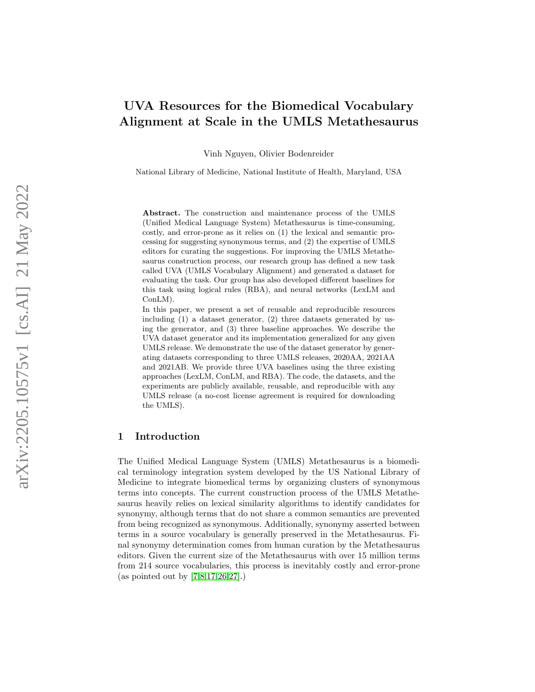# UVA Resources for the Biomedical Vocabulary Alignment at Scale in the UMLS Metathesaurus

Vinh Nguyen, Olivier Bodenreider

National Library of Medicine, National Institute of Health, Maryland, USA

Abstract. The construction and maintenance process of the UMLS (Unified Medical Language System) Metathesaurus is time-consuming, costly, and error-prone as it relies on (1) the lexical and semantic processing for suggesting synonymous terms, and (2) the expertise of UMLS editors for curating the suggestions. For improving the UMLS Metathesaurus construction process, our research group has defined a new task called UVA (UMLS Vocabulary Alignment) and generated a dataset for evaluating the task. Our group has also developed different baselines for this task using logical rules (RBA), and neural networks (LexLM and ConLM).

In this paper, we present a set of reusable and reproducible resources including (1) a dataset generator, (2) three datasets generated by using the generator, and (3) three baseline approaches. We describe the UVA dataset generator and its implementation generalized for any given UMLS release. We demonstrate the use of the dataset generator by generating datasets corresponding to three UMLS releases, 2020AA, 2021AA and 2021AB. We provide three UVA baselines using the three existing approaches (LexLM, ConLM, and RBA). The code, the datasets, and the experiments are publicly available, reusable, and reproducible with any UMLS release (a no-cost license agreement is required for downloading the UMLS).

## 1 Introduction

The Unified Medical Language System (UMLS) Metathesaurus is a biomedical terminology integration system developed by the US National Library of Medicine to integrate biomedical terms by organizing clusters of synonymous terms into concepts. The current construction process of the UMLS Metathesaurus heavily relies on lexical similarity algorithms to identify candidates for synonymy, although terms that do not share a common semantics are prevented from being recognized as synonymous. Additionally, synonymy asserted between terms in a source vocabulary is generally preserved in the Metathesaurus. Final synonymy determination comes from human curation by the Metathesaurus editors. Given the current size of the Metathesaurus with over 15 million terms from 214 source vocabularies, this process is inevitably costly and error-prone (as pointed out by [\[7,](#page-13-0)[8,](#page-13-1)[17,](#page-14-0)[26](#page-14-1)[,27\]](#page-14-2).)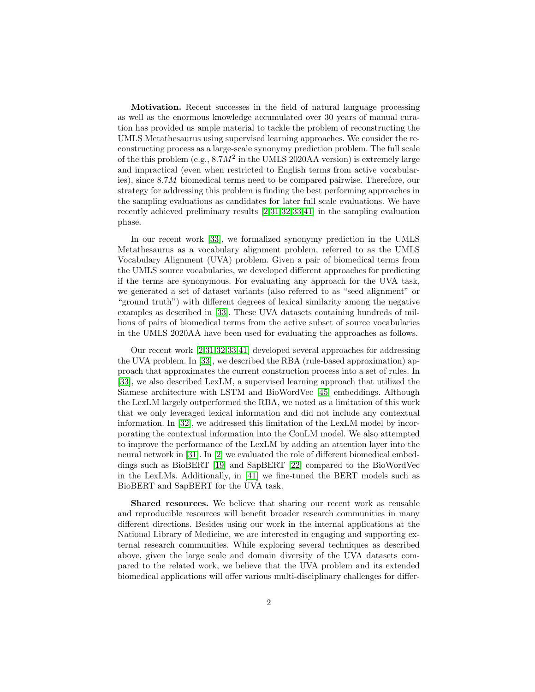Motivation. Recent successes in the field of natural language processing as well as the enormous knowledge accumulated over 30 years of manual curation has provided us ample material to tackle the problem of reconstructing the UMLS Metathesaurus using supervised learning approaches. We consider the reconstructing process as a large-scale synonymy prediction problem. The full scale of the this problem (e.g.,  $8.7M^2$  in the UMLS 2020AA version) is extremely large and impractical (even when restricted to English terms from active vocabularies), since 8.7M biomedical terms need to be compared pairwise. Therefore, our strategy for addressing this problem is finding the best performing approaches in the sampling evaluations as candidates for later full scale evaluations. We have recently achieved preliminary results [\[2,](#page-13-2)[31,](#page-15-0)[32,](#page-15-1)[33,](#page-15-2)[41\]](#page-15-3) in the sampling evaluation phase.

In our recent work [\[33\]](#page-15-2), we formalized synonymy prediction in the UMLS Metathesaurus as a vocabulary alignment problem, referred to as the UMLS Vocabulary Alignment (UVA) problem. Given a pair of biomedical terms from the UMLS source vocabularies, we developed different approaches for predicting if the terms are synonymous. For evaluating any approach for the UVA task, we generated a set of dataset variants (also referred to as "seed alignment" or "ground truth") with different degrees of lexical similarity among the negative examples as described in [\[33\]](#page-15-2). These UVA datasets containing hundreds of millions of pairs of biomedical terms from the active subset of source vocabularies in the UMLS 2020AA have been used for evaluating the approaches as follows.

Our recent work [\[2](#page-13-2)[,31,](#page-15-0)[32,](#page-15-1)[33](#page-15-2)[,41\]](#page-15-3) developed several approaches for addressing the UVA problem. In [\[33\]](#page-15-2), we described the RBA (rule-based approximation) approach that approximates the current construction process into a set of rules. In [\[33\]](#page-15-2), we also described LexLM, a supervised learning approach that utilized the Siamese architecture with LSTM and BioWordVec [\[45\]](#page-15-4) embeddings. Although the LexLM largely outperformed the RBA, we noted as a limitation of this work that we only leveraged lexical information and did not include any contextual information. In [\[32\]](#page-15-1), we addressed this limitation of the LexLM model by incorporating the contextual information into the ConLM model. We also attempted to improve the performance of the LexLM by adding an attention layer into the neural network in [\[31\]](#page-15-0). In [\[2\]](#page-13-2) we evaluated the role of different biomedical embeddings such as BioBERT [\[19\]](#page-14-3) and SapBERT [\[22\]](#page-14-4) compared to the BioWordVec in the LexLMs. Additionally, in [\[41\]](#page-15-3) we fine-tuned the BERT models such as BioBERT and SapBERT for the UVA task.

Shared resources. We believe that sharing our recent work as reusable and reproducible resources will benefit broader research communities in many different directions. Besides using our work in the internal applications at the National Library of Medicine, we are interested in engaging and supporting external research communities. While exploring several techniques as described above, given the large scale and domain diversity of the UVA datasets compared to the related work, we believe that the UVA problem and its extended biomedical applications will offer various multi-disciplinary challenges for differ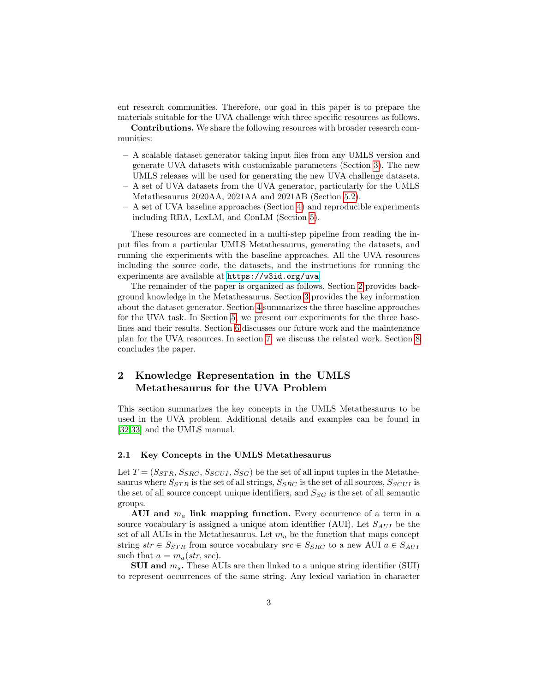ent research communities. Therefore, our goal in this paper is to prepare the materials suitable for the UVA challenge with three specific resources as follows.

Contributions. We share the following resources with broader research communities:

- A scalable dataset generator taking input files from any UMLS version and generate UVA datasets with customizable parameters (Section [3\)](#page-3-0). The new UMLS releases will be used for generating the new UVA challenge datasets.
- A set of UVA datasets from the UVA generator, particularly for the UMLS Metathesaurus 2020AA, 2021AA and 2021AB (Section [5.2\)](#page-9-0).
- A set of UVA baseline approaches (Section [4\)](#page-5-0) and reproducible experiments including RBA, LexLM, and ConLM (Section [5\)](#page-7-0).

These resources are connected in a multi-step pipeline from reading the input files from a particular UMLS Metathesaurus, generating the datasets, and running the experiments with the baseline approaches. All the UVA resources including the source code, the datasets, and the instructions for running the experiments are available at <https://w3id.org/uva>.

The remainder of the paper is organized as follows. Section [2](#page-2-0) provides background knowledge in the Metathesaurus. Section [3](#page-3-0) provides the key information about the dataset generator. Section [4](#page-5-0) summarizes the three baseline approaches for the UVA task. In Section [5,](#page-7-0) we present our experiments for the three baselines and their results. Section [6](#page-10-0) discusses our future work and the maintenance plan for the UVA resources. In section [7,](#page-12-0) we discuss the related work. Section [8](#page-12-1) concludes the paper.

# <span id="page-2-0"></span>2 Knowledge Representation in the UMLS Metathesaurus for the UVA Problem

This section summarizes the key concepts in the UMLS Metathesaurus to be used in the UVA problem. Additional details and examples can be found in [\[32](#page-15-1)[,33\]](#page-15-2) and the UMLS manual.

#### 2.1 Key Concepts in the UMLS Metathesaurus

Let  $T = (S_{STR}, S_{SRC}, S_{SCUI}, S_{SG})$  be the set of all input tuples in the Metathesaurus where  $S_{STR}$  is the set of all strings,  $S_{SRC}$  is the set of all sources,  $S_{SCUI}$  is the set of all source concept unique identifiers, and  $S_{SG}$  is the set of all semantic groups.

AUI and  $m_a$  link mapping function. Every occurrence of a term in a source vocabulary is assigned a unique atom identifier (AUI). Let  $S_{AUI}$  be the set of all AUIs in the Metathesaurus. Let  $m_a$  be the function that maps concept string  $str \in S_{STR}$  from source vocabulary  $src \in S_{SRC}$  to a new AUI  $a \in S_{AUI}$ such that  $a = m_a(str, src)$ .

**SUI and**  $m_s$ **.** These AUIs are then linked to a unique string identifier (SUI) to represent occurrences of the same string. Any lexical variation in character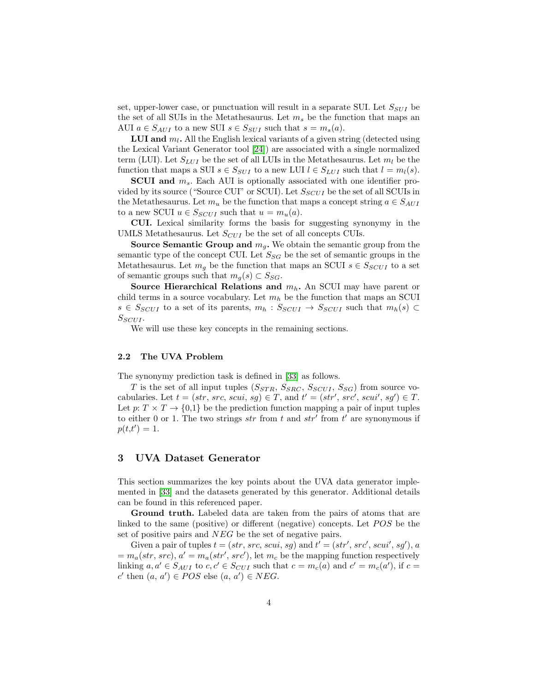set, upper-lower case, or punctuation will result in a separate SUI. Let  $S_{SUI}$  be the set of all SUIs in the Metathesaurus. Let  $m_s$  be the function that maps an AUI  $a \in S_{AUI}$  to a new SUI  $s \in S_{SUI}$  such that  $s = m_s(a)$ .

**LUI and**  $m_l$ **.** All the English lexical variants of a given string (detected using the Lexical Variant Generator tool [\[24\]](#page-14-5)) are associated with a single normalized term (LUI). Let  $S_{LUI}$  be the set of all LUIs in the Metathesaurus. Let  $m_l$  be the function that maps a SUI  $s \in S_{SUI}$  to a new LUI  $l \in S_{LUI}$  such that  $l = m_l(s)$ .

**SCUI** and  $m_s$ . Each AUI is optionally associated with one identifier provided by its source ("Source CUI" or SCUI). Let  $S_{SCUI}$  be the set of all SCUIs in the Metathesaurus. Let  $m_u$  be the function that maps a concept string  $a \in S_{AUI}$ to a new SCUI  $u \in S_{SCUI}$  such that  $u = m_u(a)$ .

CUI. Lexical similarity forms the basis for suggesting synonymy in the UMLS Metathesaurus. Let  $S_{CUI}$  be the set of all concepts CUIs.

Source Semantic Group and  $m_g$ . We obtain the semantic group from the semantic type of the concept CUI. Let  $S_{SG}$  be the set of semantic groups in the Metathesaurus. Let  $m_g$  be the function that maps an SCUI  $s \in S_{SCUI}$  to a set of semantic groups such that  $m_q(s) \subset S_{SG}$ .

Source Hierarchical Relations and  $m_h$ . An SCUI may have parent or child terms in a source vocabulary. Let  $m_h$  be the function that maps an SCUI  $s \in S_{SCUI}$  to a set of its parents,  $m_h : S_{SCUI} \rightarrow S_{SCUI}$  such that  $m_h(s) \subset$  $S_{SCUI}$ .

We will use these key concepts in the remaining sections.

#### 2.2 The UVA Problem

The synonymy prediction task is defined in [\[33\]](#page-15-2) as follows.

T is the set of all input tuples  $(S_{STR}, S_{SRC}, S_{SCUI}, S_{SG})$  from source vocabularies. Let  $t = (str, src, scui, sg) \in T$ , and  $t' = (str', src', scui', sg') \in T$ . Let  $p: T \times T \to \{0,1\}$  be the prediction function mapping a pair of input tuples to either 0 or 1. The two strings  $str$  from t and  $str'$  from t' are synonymous if  $p(t,t') = 1.$ 

## <span id="page-3-0"></span>3 UVA Dataset Generator

This section summarizes the key points about the UVA data generator implemented in [\[33\]](#page-15-2) and the datasets generated by this generator. Additional details can be found in this referenced paper.

Ground truth. Labeled data are taken from the pairs of atoms that are linked to the same (positive) or different (negative) concepts. Let  $POS$  be the set of positive pairs and NEG be the set of negative pairs.

Given a pair of tuples  $t = (str, src, scui, sg)$  and  $t' = (str', src', scui', sg'), a$  $= m_a(str, src), a' = m_a(str', src'),$  let  $m_c$  be the mapping function respectively linking  $a, a' \in S_{AUI}$  to  $c, c' \in S_{CUI}$  such that  $c = m_c(a)$  and  $c' = m_c(a')$ , if  $c =$ c' then  $(a, a') \in POS$  else  $(a, a') \in NEG$ .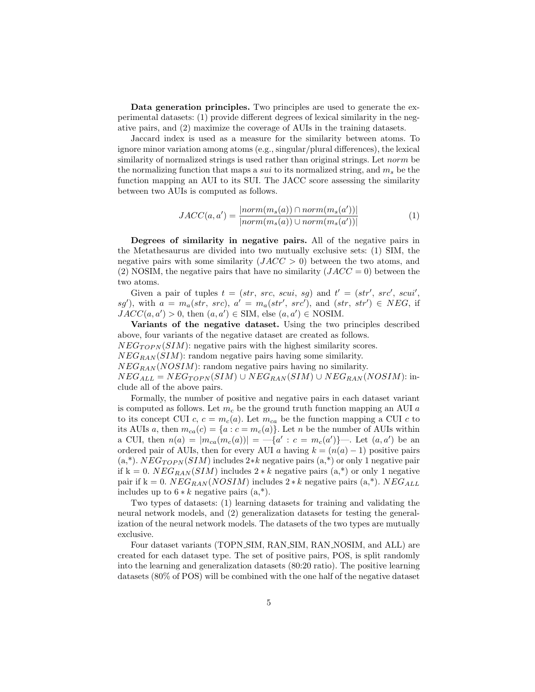Data generation principles. Two principles are used to generate the experimental datasets: (1) provide different degrees of lexical similarity in the negative pairs, and (2) maximize the coverage of AUIs in the training datasets.

Jaccard index is used as a measure for the similarity between atoms. To ignore minor variation among atoms (e.g., singular/plural differences), the lexical similarity of normalized strings is used rather than original strings. Let norm be the normalizing function that maps a *sui* to its normalized string, and  $m_s$  be the function mapping an AUI to its SUI. The JACC score assessing the similarity between two AUIs is computed as follows.

$$
JACC(a, a') = \frac{|norm(m_s(a)) \cap norm(m_s(a'))|}{|norm(m_s(a)) \cup norm(m_s(a'))|}
$$
(1)

Degrees of similarity in negative pairs. All of the negative pairs in the Metathesaurus are divided into two mutually exclusive sets: (1) SIM, the negative pairs with some similarity  $(JACC > 0)$  between the two atoms, and (2) NOSIM, the negative pairs that have no similarity  $(JACC = 0)$  between the two atoms.

Given a pair of tuples  $t = (str, src, scui, sg)$  and  $t' = (str', src', scui',$ sg'), with  $a = m_a(str, src), a' = m_a(str', src'),$  and  $(str, str') \in NEG$ , if  $JACC(a, a') > 0$ , then  $(a, a') \in SIM$ , else  $(a, a') \in NOSIM$ .

Variants of the negative dataset. Using the two principles described above, four variants of the negative dataset are created as follows.  $NEG_{TOPN}(SIM)$ : negative pairs with the highest similarity scores.  $NEG_{RAN}(SIM)$ : random negative pairs having some similarity.  $NEG_{RAN}(NOSIM)$ : random negative pairs having no similarity.  $NEG_{ALL} = NEG_{TOPN}(SIM) \cup NEG_{RAN}(SIM) \cup NEG_{RAN}(NOSIM)$ : in-

clude all of the above pairs.

Formally, the number of positive and negative pairs in each dataset variant is computed as follows. Let  $m_c$  be the ground truth function mapping an AUI  $a$ to its concept CUI c,  $c = m_c(a)$ . Let  $m_{ca}$  be the function mapping a CUI c to its AUIs a, then  $m_{ca}(c) = \{a : c = m_c(a)\}\)$ . Let n be the number of AUIs within a CUI, then  $n(a) = |m_{ca}(m_c(a))| = -\{a' : c = m_c(a')\}$ . Let  $(a, a')$  be an ordered pair of AUIs, then for every AUI a having  $k = (n(a) - 1)$  positive pairs  $(a,*)$ .  $NEG_{TOPN}(SIM)$  includes 2 $*k$  negative pairs  $(a,*)$  or only 1 negative pair if k = 0.  $NEG_{RAN}(SIM)$  includes 2  $*$  k negative pairs (a,<sup>\*</sup>) or only 1 negative pair if k = 0.  $NEG_{RAN}(NOSIM)$  includes 2 \* k negative pairs (a,\*).  $NEG_{ALL}$ includes up to  $6 * k$  negative pairs  $(a, *).$ 

Two types of datasets: (1) learning datasets for training and validating the neural network models, and (2) generalization datasets for testing the generalization of the neural network models. The datasets of the two types are mutually exclusive.

Four dataset variants (TOPN SIM, RAN SIM, RAN NOSIM, and ALL) are created for each dataset type. The set of positive pairs, POS, is split randomly into the learning and generalization datasets (80:20 ratio). The positive learning datasets (80% of POS) will be combined with the one half of the negative dataset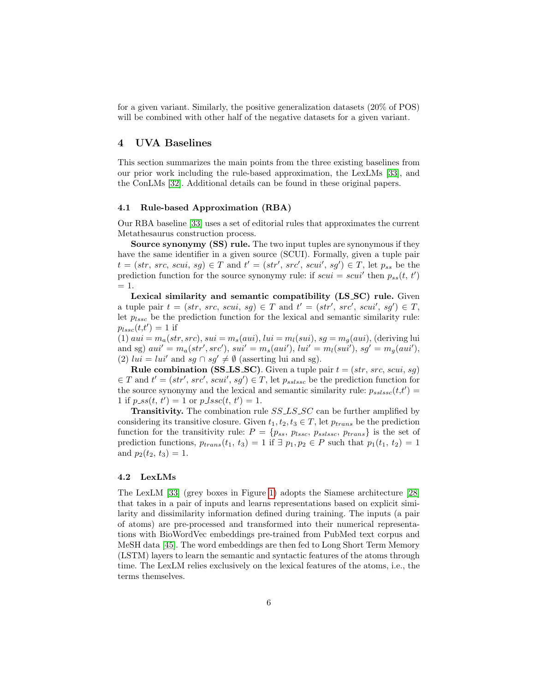for a given variant. Similarly, the positive generalization datasets (20% of POS) will be combined with other half of the negative datasets for a given variant.

### <span id="page-5-0"></span>4 UVA Baselines

This section summarizes the main points from the three existing baselines from our prior work including the rule-based approximation, the LexLMs [\[33\]](#page-15-2), and the ConLMs [\[32\]](#page-15-1). Additional details can be found in these original papers.

#### 4.1 Rule-based Approximation (RBA)

Our RBA baseline [\[33\]](#page-15-2) uses a set of editorial rules that approximates the current Metathesaurus construction process.

Source synonymy (SS) rule. The two input tuples are synonymous if they have the same identifier in a given source (SCUI). Formally, given a tuple pair  $t = (str, src, scui, sg) \in T$  and  $t' = (str', src', scui', sg') \in T$ , let  $p_{ss}$  be the prediction function for the source synonymy rule: if  $scui = scui'$  then  $p_{ss}(t, t')$  $= 1.$ 

Lexical similarity and semantic compatibility (LS\_SC) rule. Given a tuple pair  $t = (str, src, scui, sg) \in T$  and  $t' = (str', src', scui', sg') \in T$ , let  $p_{lssc}$  be the prediction function for the lexical and semantic similarity rule:  $p_{lssc}(t,t')=1$  if

(1)  $aui = m_a(str, src), sui = m_s(aui), lui = m_l(sui), sg = m_a(aui), (deriving lui)$ and sg)  $aui' = m_a(str', src'), sui' = m_s(aui'), lui' = m_l(sui'), sg' = m_g(aui'),$ (2)  $lui = lui'$  and  $sg \cap sg' \neq \emptyset$  (asserting lui and sg).

**Rule combination (SS\_LS\_SC)**. Given a tuple pair  $t = (str, src, scui, sg)$  $\in T$  and  $t' = (str', src', scui', sg') \in T$ , let  $p_{sslssc}$  be the prediction function for the source synonymy and the lexical and semantic similarity rule:  $p_{sslssc}(t,t')$  = 1 if  $p\_ss(t, t') = 1$  or  $p\_lssc(t, t') = 1$ .

**Transitivity.** The combination rule  $SS \text{L} S \text{L} S \text{L} C$  can be further amplified by considering its transitive closure. Given  $t_1, t_2, t_3 \in T$ , let  $p_{trans}$  be the prediction function for the transitivity rule:  $P = \{p_{ss}, p_{lssc}, p_{sslssc}, p_{trans}\}\$ is the set of prediction functions,  $p_{trans}(t_1, t_3) = 1$  if  $\exists p_1, p_2 \in P$  such that  $p_1(t_1, t_2) = 1$ and  $p_2(t_2, t_3) = 1$ .

#### 4.2 LexLMs

The LexLM [\[33\]](#page-15-2) (grey boxes in Figure [1\)](#page-6-0) adopts the Siamese architecture [\[28\]](#page-14-6) that takes in a pair of inputs and learns representations based on explicit similarity and dissimilarity information defined during training. The inputs (a pair of atoms) are pre-processed and transformed into their numerical representations with BioWordVec embeddings pre-trained from PubMed text corpus and MeSH data [\[45\]](#page-15-4). The word embeddings are then fed to Long Short Term Memory (LSTM) layers to learn the semantic and syntactic features of the atoms through time. The LexLM relies exclusively on the lexical features of the atoms, i.e., the terms themselves.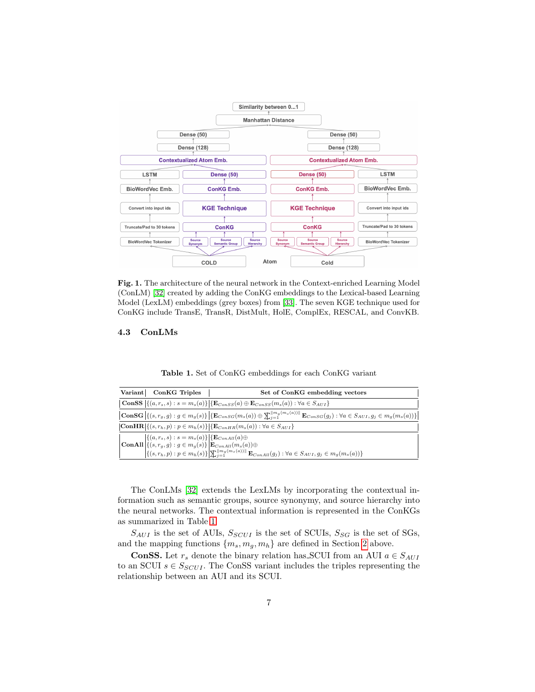

<span id="page-6-0"></span>Fig. 1. The architecture of the neural network in the Context-enriched Learning Model (ConLM) [\[32\]](#page-15-1) created by adding the ConKG embeddings to the Lexical-based Learning Model (LexLM) embeddings (grey boxes) from [\[33\]](#page-15-2). The seven KGE technique used for ConKG include TransE, TransR, DistMult, HolE, ComplEx, RESCAL, and ConvKB.

### 4.3 ConLMs

<span id="page-6-1"></span>

|  |  |  |  | <b>Table 1.</b> Set of ConKG embeddings for each ConKG variant |  |  |  |  |
|--|--|--|--|----------------------------------------------------------------|--|--|--|--|
|--|--|--|--|----------------------------------------------------------------|--|--|--|--|

| <b>ConKG</b> Triples<br>Variant                                                                                                                                                                                                             | Set of ConKG embedding vectors                                                                                                                                                                     |
|---------------------------------------------------------------------------------------------------------------------------------------------------------------------------------------------------------------------------------------------|----------------------------------------------------------------------------------------------------------------------------------------------------------------------------------------------------|
| <b>ConSS</b> $\{(a, r_s, s) : s = m_s(a)\}\{\mathbf{E}_{ConsS}(a) \oplus \mathbf{E}_{ConsS}(m_s(a)) : \forall a \in S_{AUI}\}\$                                                                                                             |                                                                                                                                                                                                    |
|                                                                                                                                                                                                                                             | $\text{ConSG}\left(\{(s,r_g,g): g \in m_g(s)\}\right) \left\{\text{E}_{ConsG}(m_s(a)) \oplus \sum_{i=1}^{m_g(m_s(a))} \text{E}_{ConsG}(g_j): \forall a \in S_{AUI}, g_j \in m_g(m_s(a))\}\right\}$ |
| $ \mathbf{ConHR}  \{ (s, r_h, p) : p \in m_h(s) \}   \{ \mathbf{E}_{ConHR}(m_s(a)) : \forall a \in S_{AUI} \}$                                                                                                                              |                                                                                                                                                                                                    |
| $\begin{split} \begin{vmatrix} \{(a,r_s,s):s=m_s(a)\} \left\{ \mathbf{E}_{ConAll}(a) \oplus \right. \\ \mathbf{ConAll} \left\{ (s,r_g,g):g\in m_g(s) \right\} \left\  \mathbf{E}_{ConAll}(m_s(a)) \oplus \right. \end{vmatrix} \end{split}$ | $\left\{ \{(s, r_h, p) : p \in m_h(s)\} \middle  \sum_{i=1}^{\lfloor m_g(m_s(a)) \rfloor} \mathbf{E}_{ConAll}(g_j) : \forall a \in S_{AUI}, g_j \in m_g(m_s(a)) \right\}$                          |

The ConLMs [\[32\]](#page-15-1) extends the LexLMs by incorporating the contextual information such as semantic groups, source synonymy, and source hierarchy into the neural networks. The contextual information is represented in the ConKGs as summarized in Table [1.](#page-6-1)

 $S_{AUI}$  is the set of AUIs,  $S_{SCUI}$  is the set of SCUIs,  $S_{SG}$  is the set of SGs, and the mapping functions  ${m_s, m_g, m_h}$  are defined in Section [2](#page-2-0) above.

**ConSS.** Let  $r_s$  denote the binary relation has SCUI from an AUI  $a \in S_{AUI}$ to an SCUI  $s \in S_{SCUI}$ . The ConSS variant includes the triples representing the relationship between an AUI and its SCUI.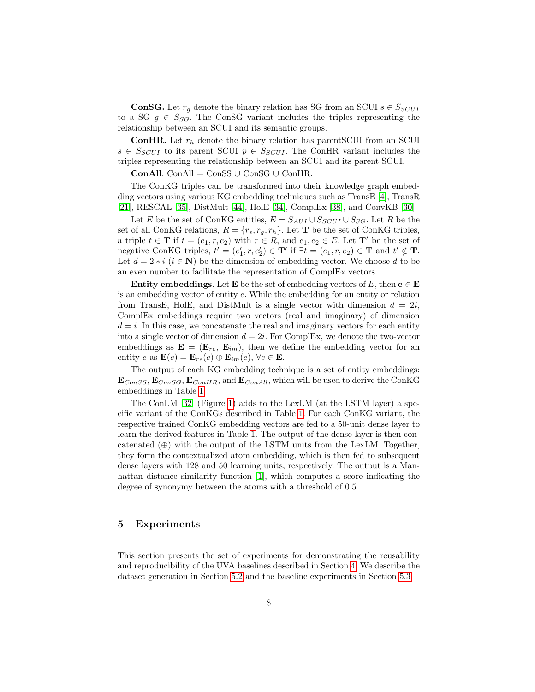**ConSG.** Let  $r_q$  denote the binary relation has SG from an SCUI  $s \in S_{SCUI}$ to a SG  $g \in S_{SG}$ . The ConSG variant includes the triples representing the relationship between an SCUI and its semantic groups.

**ConHR.** Let  $r_h$  denote the binary relation has parentSCUI from an SCUI  $s \in S_{SCUI}$  to its parent SCUI  $p \in S_{SCUI}$ . The ConHR variant includes the triples representing the relationship between an SCUI and its parent SCUI.

ConAll. ConAll =  $\text{Cons}S \cup \text{Cons}G \cup \text{ConHR}$ .

The ConKG triples can be transformed into their knowledge graph embedding vectors using various KG embedding techniques such as TransE [\[4\]](#page-13-3), TransR [\[21\]](#page-14-7), RESCAL [\[35\]](#page-15-5), DistMult [\[44\]](#page-15-6), HolE [\[34\]](#page-15-7), ComplEx [\[38\]](#page-15-8), and ConvKB [\[30\]](#page-15-9)

Let E be the set of ConKG entities,  $E = S_{AUI} \cup S_{SCUI} \cup S_{SG}$ . Let R be the set of all ConKG relations,  $R = \{r_s, r_g, r_h\}$ . Let **T** be the set of ConKG triples, a triple  $t \in \mathbf{T}$  if  $t = (e_1, r, e_2)$  with  $r \in R$ , and  $e_1, e_2 \in E$ . Let  $\mathbf{T}'$  be the set of negative ConKG triples,  $t' = (e'_1, r, e'_2) \in \mathbf{T}'$  if  $\exists t = (e_1, r, e_2) \in \mathbf{T}$  and  $t' \notin \mathbf{T}$ . Let  $d = 2 * i$   $(i \in \mathbb{N})$  be the dimension of embedding vector. We choose d to be an even number to facilitate the representation of ComplEx vectors.

**Entity embeddings.** Let **E** be the set of embedding vectors of E, then  $e \in E$ is an embedding vector of entity e. While the embedding for an entity or relation from TransE, HolE, and DistMult is a single vector with dimension  $d = 2i$ , ComplEx embeddings require two vectors (real and imaginary) of dimension  $d = i$ . In this case, we concatenate the real and imaginary vectors for each entity into a single vector of dimension  $d = 2i$ . For ComplEx, we denote the two-vector embeddings as  $\mathbf{E} = (\mathbf{E}_{re}, \mathbf{E}_{im})$ , then we define the embedding vector for an entity  $e$  as  $\mathbf{E}(e) = \mathbf{E}_{re}(e) \oplus \mathbf{E}_{im}(e), \forall e \in \mathbf{E}.$ 

The output of each KG embedding technique is a set of entity embeddings:  $\mathbf{E}_{ConsS}$ ,  $\mathbf{E}_{ConSG}$ ,  $\mathbf{E}_{ConHR}$ , and  $\mathbf{E}_{ConAll}$ , which will be used to derive the ConKG embeddings in Table [1.](#page-6-1)

The ConLM [\[32\]](#page-15-1) (Figure [1\)](#page-6-0) adds to the LexLM (at the LSTM layer) a specific variant of the ConKGs described in Table [1.](#page-6-1) For each ConKG variant, the respective trained ConKG embedding vectors are fed to a 50-unit dense layer to learn the derived features in Table [1.](#page-6-1) The output of the dense layer is then concatenated  $(\oplus)$  with the output of the LSTM units from the LexLM. Together, they form the contextualized atom embedding, which is then fed to subsequent dense layers with 128 and 50 learning units, respectively. The output is a Manhattan distance similarity function [\[1\]](#page-13-4), which computes a score indicating the degree of synonymy between the atoms with a threshold of 0.5.

### <span id="page-7-0"></span>5 Experiments

This section presents the set of experiments for demonstrating the reusability and reproducibility of the UVA baselines described in Section [4.](#page-5-0) We describe the dataset generation in Section [5.2](#page-9-0) and the baseline experiments in Section [5.3.](#page-9-1)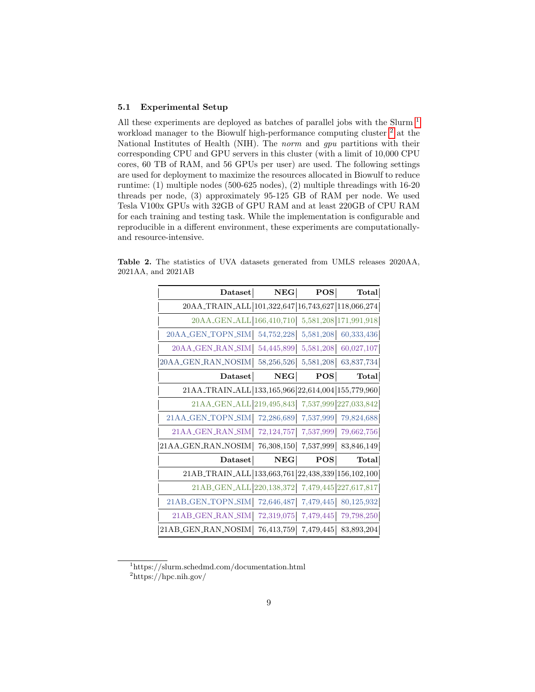#### 5.1 Experimental Setup

All these experiments are deployed as batches of parallel jobs with the Slurm <sup>[1](#page-8-0)</sup> workload manager to the Biowulf high-performance computing cluster  $^2$  $^2$  at the National Institutes of Health (NIH). The norm and gpu partitions with their corresponding CPU and GPU servers in this cluster (with a limit of 10,000 CPU cores, 60 TB of RAM, and 56 GPUs per user) are used. The following settings are used for deployment to maximize the resources allocated in Biowulf to reduce runtime: (1) multiple nodes (500-625 nodes), (2) multiple threadings with 16-20 threads per node, (3) approximately 95-125 GB of RAM per node. We used Tesla V100x GPUs with 32GB of GPU RAM and at least 220GB of CPU RAM for each training and testing task. While the implementation is configurable and reproducible in a different environment, these experiments are computationallyand resource-intensive.

<span id="page-8-2"></span>

| Dataset                                           | NEG        | <b>POS</b> | <b>Total</b>          |
|---------------------------------------------------|------------|------------|-----------------------|
| 20AA_TRAIN_ALL 101,322,647 16,743,627 118,066,274 |            |            |                       |
| 20AA_GEN_ALL 166,410,710                          |            |            | 5,581,208 171,991,918 |
| 20AA_GEN_TOPN_SIM                                 | 54,752,228 | 5,581,208  | 60,333,436            |
| 20AA_GEN_RAN_SIM                                  | 54,445,899 | 5,581,208  | 60,027,107            |
| 20AA_GEN_RAN_NOSIM                                | 58,256,526 | 5,581,208  | 63,837,734            |
| <b>Dataset</b>                                    | <b>NEG</b> | <b>POS</b> | <b>Total</b>          |
| 21AA_TRAIN_ALL 133,165,966 22,614,004 155,779,960 |            |            |                       |
| 21AA_GEN_ALL 219,495,843                          |            |            | 7,537,999 227,033,842 |
| 21AA_GEN_TOPN_SIM                                 | 72,286,689 | 7,537,999  | 79,824,688            |
| 21AA_GEN_RAN_SIM                                  | 72,124,757 | 7,537,999  | 79,662,756            |
| 21AA_GEN_RAN_NOSIM                                | 76,308,150 | 7,537,999  | 83,846,149            |
| Dataset                                           | NEG        | <b>POS</b> | $\text{Total}$        |
| 21AB_TRAIN_ALL 133,663,761 22,438,339 156,102,100 |            |            |                       |
| 21AB_GEN_ALL 220,138,372                          |            |            | 7,479,445 227,617,817 |
| 21AB_GEN_TOPN_SIM                                 | 72,646,487 | 7,479,445  | 80,125,932            |
| 21AB_GEN_RAN_SIM                                  | 72,319,075 | 7,479,445  | 79,798,250            |
| 21AB_GEN_RAN_NOSIM                                | 76,413,759 | 7,479,445  | 83,893,204            |

Table 2. The statistics of UVA datasets generated from UMLS releases 2020AA, 2021AA, and 2021AB

<span id="page-8-0"></span><sup>1</sup>https://slurm.schedmd.com/documentation.html

<span id="page-8-1"></span><sup>2</sup>https://hpc.nih.gov/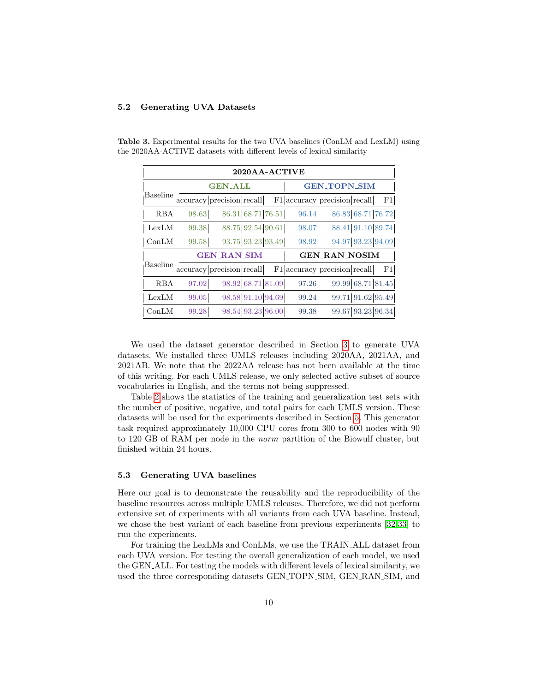#### <span id="page-9-0"></span>5.2 Generating UVA Datasets

<span id="page-9-2"></span>

| 2020AA-ACTIVE   |       |                           |  |       |                              |    |  |  |
|-----------------|-------|---------------------------|--|-------|------------------------------|----|--|--|
|                 |       | <b>GEN ALL</b>            |  |       | <b>GEN_TOPN_SIM</b>          |    |  |  |
| <b>Baseline</b> |       | accuracy precision recall |  |       | F1 accuracy precision recall | F1 |  |  |
| <b>RBA</b>      | 98.63 | 86.31 68.71 76.51         |  | 96.14 | 86.83 68.71 76.72            |    |  |  |
| LexLM           | 99.38 | 88.75 92.54 90.61         |  | 98.07 | 88.41 91.10 89.74            |    |  |  |
| ConLM           | 99.58 | 93.75 93.23 93.49         |  | 98.92 | 94.97 93.23 94.09            |    |  |  |
|                 |       | <b>GEN_RAN_SIM</b>        |  |       | <b>GEN_RAN_NOSIM</b>         |    |  |  |
| <b>Baseline</b> |       | accuracy precision recall |  |       | F1 accuracy precision recall | F1 |  |  |
| <b>RBA</b>      | 97.02 | 98.92 68.71 81.09         |  | 97.26 | 99.99 68.71 81.45            |    |  |  |
| LexLM           | 99.05 | 98.58 91.10 94.69         |  | 99.24 | 99.71 91.62 95.49            |    |  |  |
| $_{\rm ConLM}$  | 99.28 | 98.54 93.23 96.00         |  | 99.38 | 99.67 93.23 96.34            |    |  |  |

Table 3. Experimental results for the two UVA baselines (ConLM and LexLM) using the 2020AA-ACTIVE datasets with different levels of lexical similarity

We used the dataset generator described in Section [3](#page-3-0) to generate UVA datasets. We installed three UMLS releases including 2020AA, 2021AA, and 2021AB. We note that the 2022AA release has not been available at the time of this writing. For each UMLS release, we only selected active subset of source vocabularies in English, and the terms not being suppressed.

Table [2](#page-8-2) shows the statistics of the training and generalization test sets with the number of positive, negative, and total pairs for each UMLS version. These datasets will be used for the experiments described in Section [5.](#page-7-0) This generator task required approximately 10,000 CPU cores from 300 to 600 nodes with 90 to 120 GB of RAM per node in the norm partition of the Biowulf cluster, but finished within 24 hours.

#### <span id="page-9-1"></span>5.3 Generating UVA baselines

Here our goal is to demonstrate the reusability and the reproducibility of the baseline resources across multiple UMLS releases. Therefore, we did not perform extensive set of experiments with all variants from each UVA baseline. Instead, we chose the best variant of each baseline from previous experiments [\[32,](#page-15-1)[33\]](#page-15-2) to run the experiments.

For training the LexLMs and ConLMs, we use the TRAIN ALL dataset from each UVA version. For testing the overall generalization of each model, we used the GEN ALL. For testing the models with different levels of lexical similarity, we used the three corresponding datasets GEN TOPN SIM, GEN RAN SIM, and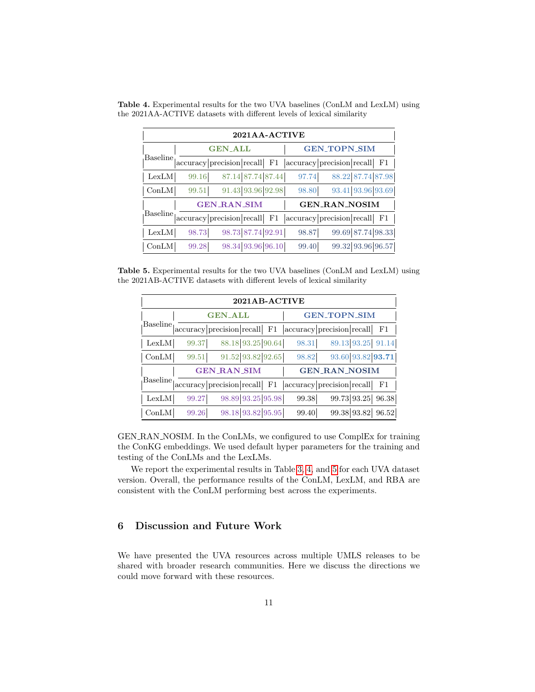<span id="page-10-1"></span>

| 2021AA-ACTIVE  |                |                           |          |                     |                                  |  |  |
|----------------|----------------|---------------------------|----------|---------------------|----------------------------------|--|--|
|                | <b>GEN_ALL</b> |                           |          | <b>GEN_TOPN_SIM</b> |                                  |  |  |
| Baseline       |                | accuracy precision recall | F1       |                     | $ accuracy precision recall $ F1 |  |  |
| LexLM          | 99.16          | 87.14 87.74 87.44         |          | 97.74               | 88.22 87.74 87.98                |  |  |
| $_{\rm ConLM}$ | 99.51          | 91.43 93.96 92.98         |          | 98.80               | 93.41 93.96 93.69                |  |  |
|                |                | <b>GEN RAN SIM</b>        |          |                     | <b>GEN_RAN_NOSIM</b>             |  |  |
| Baseline       |                | accuracy precision recall | $\rm F1$ |                     | $ accuracy precision recall $ F1 |  |  |
| LexLM          | 98.73          | 98.73 87.74 92.91         |          | 98.87               | 99.69 87.74 98.33                |  |  |
| $_{\rm ConLM}$ | 99.28          | 98.34 93.96 96.10         |          | 99.40               | 99.32 93.96 96.57                |  |  |

Table 4. Experimental results for the two UVA baselines (ConLM and LexLM) using the 2021AA-ACTIVE datasets with different levels of lexical similarity

Table 5. Experimental results for the two UVA baselines (ConLM and LexLM) using the 2021AB-ACTIVE datasets with different levels of lexical similarity

<span id="page-10-2"></span>

| 2021AB-ACTIVE   |                |                            |    |                     |                                                                                                                 |  |  |  |
|-----------------|----------------|----------------------------|----|---------------------|-----------------------------------------------------------------------------------------------------------------|--|--|--|
|                 | <b>GEN_ALL</b> |                            |    | <b>GEN_TOPN_SIM</b> |                                                                                                                 |  |  |  |
| Baseline        |                |                            |    |                     | $ \text{accuracy}  \text{precision}  \text{recall} $ F1 $ \text{accuracy}  \text{precision}  \text{recall} $ F1 |  |  |  |
| LexLM           | 99.37          | 88.18 93.25 90.64          |    | 98.31               | 89.13 93.25 91.14                                                                                               |  |  |  |
| $_{\rm ConLM}$  | 99.51          | 91.52 93.82 92.65          |    | 98.82               | 93.60 93.82 93.71                                                                                               |  |  |  |
|                 |                | <b>GEN RAN SIM</b>         |    |                     | <b>GEN_RAN_NOSIM</b>                                                                                            |  |  |  |
| <b>Baseline</b> |                | accuracy  precision recall | F1 |                     | $ accuracy precision recall $ F1                                                                                |  |  |  |
| LexLM           | 99.27          | 98.89 93.25 95.98          |    | 99.38               | 99.73 93.25 96.38                                                                                               |  |  |  |
| $_{\rm ConLM}$  | 99.26          | 98.18 93.82 95.95          |    | 99.40               | 99.38 93.82 96.52                                                                                               |  |  |  |

GEN RAN NOSIM. In the ConLMs, we configured to use ComplEx for training the ConKG embeddings. We used default hyper parameters for the training and testing of the ConLMs and the LexLMs.

We report the experimental results in Table [3,](#page-9-2) [4,](#page-10-1) and [5](#page-10-2) for each UVA dataset version. Overall, the performance results of the ConLM, LexLM, and RBA are consistent with the ConLM performing best across the experiments.

# <span id="page-10-0"></span>6 Discussion and Future Work

We have presented the UVA resources across multiple UMLS releases to be shared with broader research communities. Here we discuss the directions we could move forward with these resources.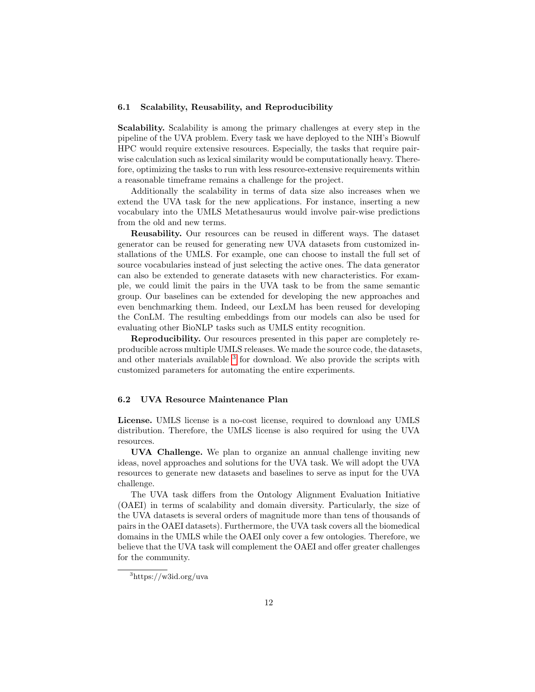#### 6.1 Scalability, Reusability, and Reproducibility

Scalability. Scalability is among the primary challenges at every step in the pipeline of the UVA problem. Every task we have deployed to the NIH's Biowulf HPC would require extensive resources. Especially, the tasks that require pairwise calculation such as lexical similarity would be computationally heavy. Therefore, optimizing the tasks to run with less resource-extensive requirements within a reasonable timeframe remains a challenge for the project.

Additionally the scalability in terms of data size also increases when we extend the UVA task for the new applications. For instance, inserting a new vocabulary into the UMLS Metathesaurus would involve pair-wise predictions from the old and new terms.

Reusability. Our resources can be reused in different ways. The dataset generator can be reused for generating new UVA datasets from customized installations of the UMLS. For example, one can choose to install the full set of source vocabularies instead of just selecting the active ones. The data generator can also be extended to generate datasets with new characteristics. For example, we could limit the pairs in the UVA task to be from the same semantic group. Our baselines can be extended for developing the new approaches and even benchmarking them. Indeed, our LexLM has been reused for developing the ConLM. The resulting embeddings from our models can also be used for evaluating other BioNLP tasks such as UMLS entity recognition.

Reproducibility. Our resources presented in this paper are completely reproducible across multiple UMLS releases. We made the source code, the datasets, and other materials available <sup>[3](#page-11-0)</sup> for download. We also provide the scripts with customized parameters for automating the entire experiments.

#### 6.2 UVA Resource Maintenance Plan

License. UMLS license is a no-cost license, required to download any UMLS distribution. Therefore, the UMLS license is also required for using the UVA resources.

UVA Challenge. We plan to organize an annual challenge inviting new ideas, novel approaches and solutions for the UVA task. We will adopt the UVA resources to generate new datasets and baselines to serve as input for the UVA challenge.

The UVA task differs from the Ontology Alignment Evaluation Initiative (OAEI) in terms of scalability and domain diversity. Particularly, the size of the UVA datasets is several orders of magnitude more than tens of thousands of pairs in the OAEI datasets). Furthermore, the UVA task covers all the biomedical domains in the UMLS while the OAEI only cover a few ontologies. Therefore, we believe that the UVA task will complement the OAEI and offer greater challenges for the community.

<span id="page-11-0"></span><sup>3</sup>https://w3id.org/uva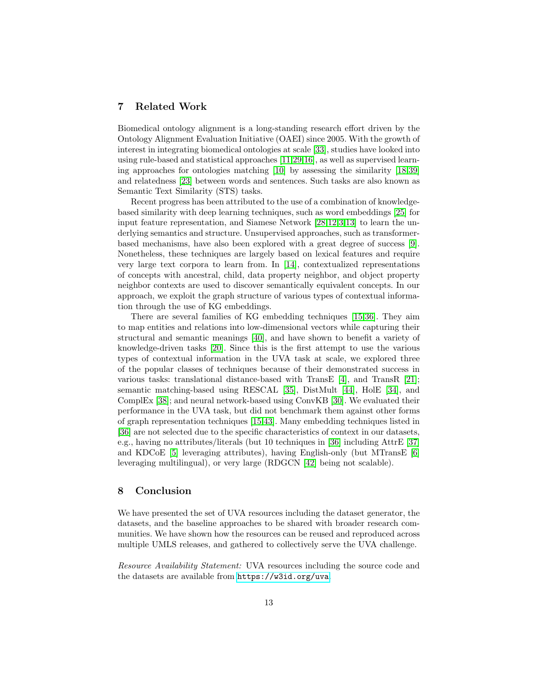### <span id="page-12-0"></span>7 Related Work

Biomedical ontology alignment is a long-standing research effort driven by the Ontology Alignment Evaluation Initiative (OAEI) since 2005. With the growth of interest in integrating biomedical ontologies at scale [\[33\]](#page-15-2), studies have looked into using rule-based and statistical approaches [\[11,](#page-13-5)[29](#page-14-8)[,16\]](#page-14-9), as well as supervised learning approaches for ontologies matching [\[10\]](#page-13-6) by assessing the similarity [\[18,](#page-14-10)[39\]](#page-15-10) and relatedness [\[23\]](#page-14-11) between words and sentences. Such tasks are also known as Semantic Text Similarity (STS) tasks.

Recent progress has been attributed to the use of a combination of knowledgebased similarity with deep learning techniques, such as word embeddings [\[25\]](#page-14-12) for input feature representation, and Siamese Network [\[28,](#page-14-6)[12,](#page-14-13)[3,](#page-13-7)[13\]](#page-14-14) to learn the underlying semantics and structure. Unsupervised approaches, such as transformerbased mechanisms, have also been explored with a great degree of success [\[9\]](#page-13-8). Nonetheless, these techniques are largely based on lexical features and require very large text corpora to learn from. In [\[14\]](#page-14-15), contextualized representations of concepts with ancestral, child, data property neighbor, and object property neighbor contexts are used to discover semantically equivalent concepts. In our approach, we exploit the graph structure of various types of contextual information through the use of KG embeddings.

There are several families of KG embedding techniques [\[15,](#page-14-16)[36\]](#page-15-11). They aim to map entities and relations into low-dimensional vectors while capturing their structural and semantic meanings [\[40\]](#page-15-12), and have shown to benefit a variety of knowledge-driven tasks [\[20\]](#page-14-17). Since this is the first attempt to use the various types of contextual information in the UVA task at scale, we explored three of the popular classes of techniques because of their demonstrated success in various tasks: translational distance-based with TransE [\[4\]](#page-13-3), and TransR [\[21\]](#page-14-7); semantic matching-based using RESCAL [\[35\]](#page-15-5), DistMult [\[44\]](#page-15-6), HolE [\[34\]](#page-15-7), and ComplEx [\[38\]](#page-15-8); and neural network-based using ConvKB [\[30\]](#page-15-9). We evaluated their performance in the UVA task, but did not benchmark them against other forms of graph representation techniques [\[15,](#page-14-16)[43\]](#page-15-13). Many embedding techniques listed in [\[36\]](#page-15-11) are not selected due to the specific characteristics of context in our datasets, e.g., having no attributes/literals (but 10 techniques in [\[36\]](#page-15-11) including AttrE [\[37\]](#page-15-14) and KDCoE [\[5\]](#page-13-9) leveraging attributes), having English-only (but MTransE [\[6\]](#page-13-10) leveraging multilingual), or very large (RDGCN [\[42\]](#page-15-15) being not scalable).

### <span id="page-12-1"></span>8 Conclusion

We have presented the set of UVA resources including the dataset generator, the datasets, and the baseline approaches to be shared with broader research communities. We have shown how the resources can be reused and reproduced across multiple UMLS releases, and gathered to collectively serve the UVA challenge.

Resource Availability Statement: UVA resources including the source code and the datasets are available from <https://w3id.org/uva>.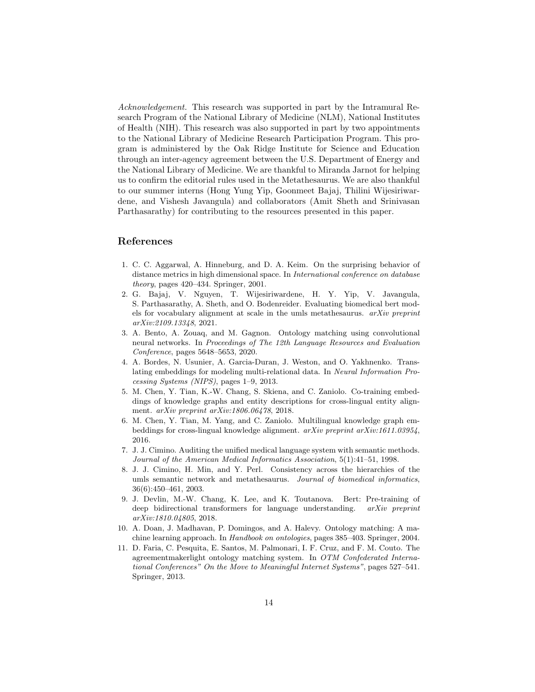Acknowledgement. This research was supported in part by the Intramural Research Program of the National Library of Medicine (NLM), National Institutes of Health (NIH). This research was also supported in part by two appointments to the National Library of Medicine Research Participation Program. This program is administered by the Oak Ridge Institute for Science and Education through an inter-agency agreement between the U.S. Department of Energy and the National Library of Medicine. We are thankful to Miranda Jarnot for helping us to confirm the editorial rules used in the Metathesaurus. We are also thankful to our summer interns (Hong Yung Yip, Goonmeet Bajaj, Thilini Wijesiriwardene, and Vishesh Javangula) and collaborators (Amit Sheth and Srinivasan Parthasarathy) for contributing to the resources presented in this paper.

### References

- <span id="page-13-4"></span>1. C. C. Aggarwal, A. Hinneburg, and D. A. Keim. On the surprising behavior of distance metrics in high dimensional space. In *International conference on database* theory, pages 420–434. Springer, 2001.
- <span id="page-13-2"></span>2. G. Bajaj, V. Nguyen, T. Wijesiriwardene, H. Y. Yip, V. Javangula, S. Parthasarathy, A. Sheth, and O. Bodenreider. Evaluating biomedical bert models for vocabulary alignment at scale in the umls metathesaurus.  $arXiv$  preprint arXiv:2109.13348, 2021.
- <span id="page-13-7"></span>3. A. Bento, A. Zouaq, and M. Gagnon. Ontology matching using convolutional neural networks. In Proceedings of The 12th Language Resources and Evaluation Conference, pages 5648–5653, 2020.
- <span id="page-13-3"></span>4. A. Bordes, N. Usunier, A. Garcia-Duran, J. Weston, and O. Yakhnenko. Translating embeddings for modeling multi-relational data. In Neural Information Processing Systems (NIPS), pages 1–9, 2013.
- <span id="page-13-9"></span>5. M. Chen, Y. Tian, K.-W. Chang, S. Skiena, and C. Zaniolo. Co-training embeddings of knowledge graphs and entity descriptions for cross-lingual entity alignment. arXiv preprint arXiv:1806.06478, 2018.
- <span id="page-13-10"></span>6. M. Chen, Y. Tian, M. Yang, and C. Zaniolo. Multilingual knowledge graph embeddings for cross-lingual knowledge alignment. arXiv preprint arXiv:1611.03954, 2016.
- <span id="page-13-0"></span>7. J. J. Cimino. Auditing the unified medical language system with semantic methods. Journal of the American Medical Informatics Association, 5(1):41–51, 1998.
- <span id="page-13-1"></span>8. J. J. Cimino, H. Min, and Y. Perl. Consistency across the hierarchies of the umls semantic network and metathesaurus. Journal of biomedical informatics, 36(6):450–461, 2003.
- <span id="page-13-8"></span>9. J. Devlin, M.-W. Chang, K. Lee, and K. Toutanova. Bert: Pre-training of deep bidirectional transformers for language understanding. arXiv preprint arXiv:1810.04805, 2018.
- <span id="page-13-6"></span>10. A. Doan, J. Madhavan, P. Domingos, and A. Halevy. Ontology matching: A machine learning approach. In Handbook on ontologies, pages 385–403. Springer, 2004.
- <span id="page-13-5"></span>11. D. Faria, C. Pesquita, E. Santos, M. Palmonari, I. F. Cruz, and F. M. Couto. The agreementmakerlight ontology matching system. In OTM Confederated International Conferences" On the Move to Meaningful Internet Systems", pages 527–541. Springer, 2013.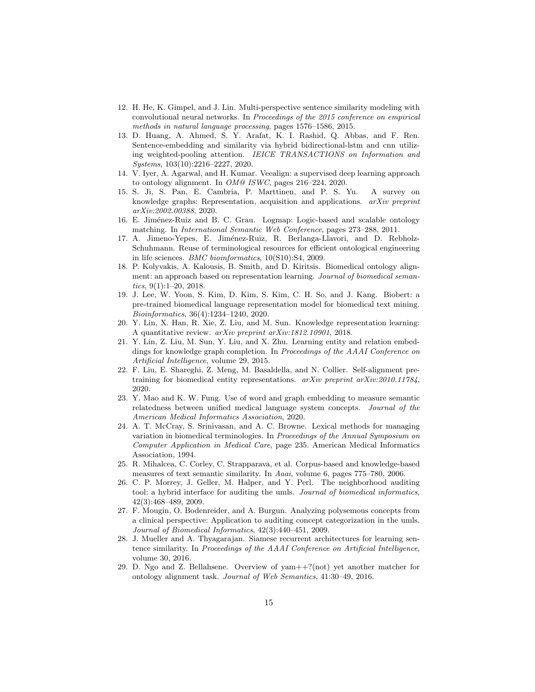- <span id="page-14-13"></span>12. H. He, K. Gimpel, and J. Lin. Multi-perspective sentence similarity modeling with convolutional neural networks. In Proceedings of the 2015 conference on empirical methods in natural language processing, pages 1576–1586, 2015.
- <span id="page-14-14"></span>13. D. Huang, A. Ahmed, S. Y. Arafat, K. I. Rashid, Q. Abbas, and F. Ren. Sentence-embedding and similarity via hybrid bidirectional-lstm and cnn utilizing weighted-pooling attention. IEICE TRANSACTIONS on Information and Systems, 103(10):2216–2227, 2020.
- <span id="page-14-15"></span>14. V. Iyer, A. Agarwal, and H. Kumar. Veealign: a supervised deep learning approach to ontology alignment. In OM@ ISWC, pages 216–224, 2020.
- <span id="page-14-16"></span>15. S. Ji, S. Pan, E. Cambria, P. Marttinen, and P. S. Yu. A survey on knowledge graphs: Representation, acquisition and applications. arXiv preprint arXiv:2002.00388, 2020.
- <span id="page-14-9"></span>16. E. Jiménez-Ruiz and B. C. Grau. Logmap: Logic-based and scalable ontology matching. In International Semantic Web Conference, pages 273–288, 2011.
- <span id="page-14-0"></span>17. A. Jimeno-Yepes, E. Jiménez-Ruiz, R. Berlanga-Llavori, and D. Rebholz-Schuhmann. Reuse of terminological resources for efficient ontological engineering in life sciences. BMC bioinformatics, 10(S10):S4, 2009.
- <span id="page-14-10"></span>18. P. Kolyvakis, A. Kalousis, B. Smith, and D. Kiritsis. Biomedical ontology alignment: an approach based on representation learning. Journal of biomedical semantics, 9(1):1–20, 2018.
- <span id="page-14-3"></span>19. J. Lee, W. Yoon, S. Kim, D. Kim, S. Kim, C. H. So, and J. Kang. Biobert: a pre-trained biomedical language representation model for biomedical text mining. Bioinformatics, 36(4):1234–1240, 2020.
- <span id="page-14-17"></span>20. Y. Lin, X. Han, R. Xie, Z. Liu, and M. Sun. Knowledge representation learning: A quantitative review. arXiv preprint arXiv:1812.10901, 2018.
- <span id="page-14-7"></span>21. Y. Lin, Z. Liu, M. Sun, Y. Liu, and X. Zhu. Learning entity and relation embeddings for knowledge graph completion. In Proceedings of the AAAI Conference on Artificial Intelligence, volume 29, 2015.
- <span id="page-14-4"></span>22. F. Liu, E. Shareghi, Z. Meng, M. Basaldella, and N. Collier. Self-alignment pretraining for biomedical entity representations. arXiv preprint arXiv:2010.11784, 2020.
- <span id="page-14-11"></span>23. Y. Mao and K. W. Fung. Use of word and graph embedding to measure semantic relatedness between unified medical language system concepts. Journal of the American Medical Informatics Association, 2020.
- <span id="page-14-5"></span>24. A. T. McCray, S. Srinivasan, and A. C. Browne. Lexical methods for managing variation in biomedical terminologies. In Proceedings of the Annual Symposium on Computer Application in Medical Care, page 235. American Medical Informatics Association, 1994.
- <span id="page-14-12"></span>25. R. Mihalcea, C. Corley, C. Strapparava, et al. Corpus-based and knowledge-based measures of text semantic similarity. In Aaai, volume 6, pages  $775-780$ , 2006.
- <span id="page-14-1"></span>26. C. P. Morrey, J. Geller, M. Halper, and Y. Perl. The neighborhood auditing tool: a hybrid interface for auditing the umls. Journal of biomedical informatics, 42(3):468–489, 2009.
- <span id="page-14-2"></span>27. F. Mougin, O. Bodenreider, and A. Burgun. Analyzing polysemous concepts from a clinical perspective: Application to auditing concept categorization in the umls. Journal of Biomedical Informatics, 42(3):440–451, 2009.
- <span id="page-14-6"></span>28. J. Mueller and A. Thyagarajan. Siamese recurrent architectures for learning sentence similarity. In Proceedings of the AAAI Conference on Artificial Intelligence, volume 30, 2016.
- <span id="page-14-8"></span>29. D. Ngo and Z. Bellahsene. Overview of yam++?(not) yet another matcher for ontology alignment task. Journal of Web Semantics, 41:30–49, 2016.